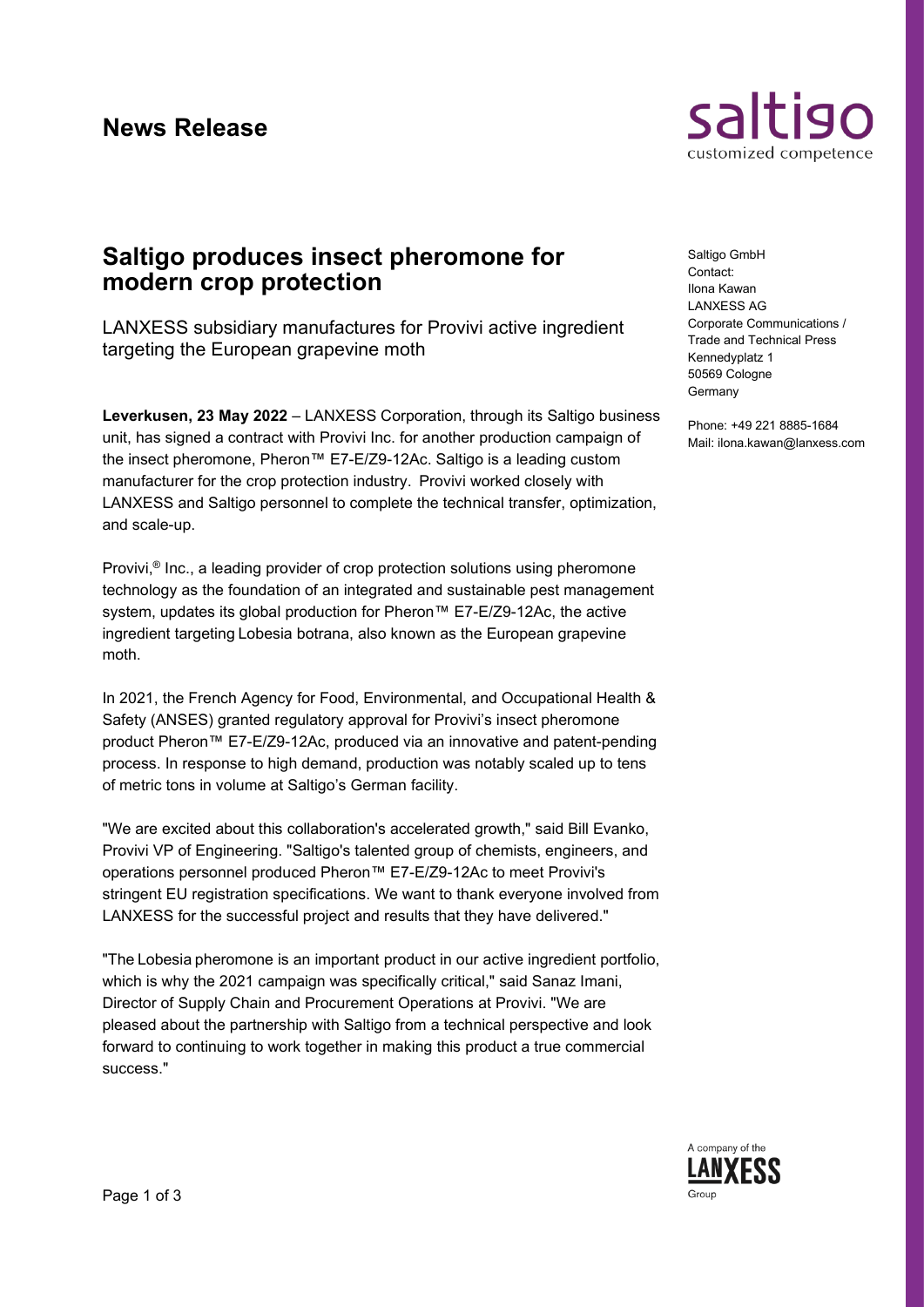

# **Saltigo produces insect pheromone for modern crop protection**

LANXESS subsidiary manufactures for Provivi active ingredient targeting the European grapevine moth

**Leverkusen, 23 May 2022** – LANXESS Corporation, through its Saltigo business unit, has signed a contract with Provivi Inc. for another production campaign of the insect pheromone, Pheron™ E7-E/Z9-12Ac. Saltigo is a leading custom manufacturer for the crop protection industry.  Provivi worked closely with LANXESS and Saltigo personnel to complete the technical transfer, optimization, and scale-up. 

Provivi,® Inc., a leading provider of crop protection solutions using pheromone technology as the foundation of an integrated and sustainable pest management system, updates its global production for Pheron™ E7-E/Z9-12Ac, the active ingredient targeting Lobesia botrana, also known as the European grapevine moth. 

In 2021, the French Agency for Food, Environmental, and Occupational Health & Safety (ANSES) granted regulatory approval for Provivi's insect pheromone product Pheron™ E7-E/Z9-12Ac, produced via an innovative and patent-pending process. In response to high demand, production was notably scaled up to tens of metric tons in volume at Saltigo's German facility.

"We are excited about this collaboration's accelerated growth," said Bill Evanko, Provivi VP of Engineering. "Saltigo's talented group of chemists, engineers, and operations personnel produced Pheron™ E7-E/Z9-12Ac to meet Provivi's stringent EU registration specifications. We want to thank everyone involved from LANXESS for the successful project and results that they have delivered." 

"The Lobesia pheromone is an important product in our active ingredient portfolio, which is why the 2021 campaign was specifically critical," said Sanaz Imani, Director of Supply Chain and Procurement Operations at Provivi. "We are pleased about the partnership with Saltigo from a technical perspective and look forward to continuing to work together in making this product a true commercial success." 

Saltigo GmbH Contact: Ilona Kawan LANXESS AG Corporate Communications / Trade and Technical Press Kennedyplatz 1 50569 Cologne Germany

Phone: +49 221 8885-1684 Mail: ilona.kawan@lanxess.com

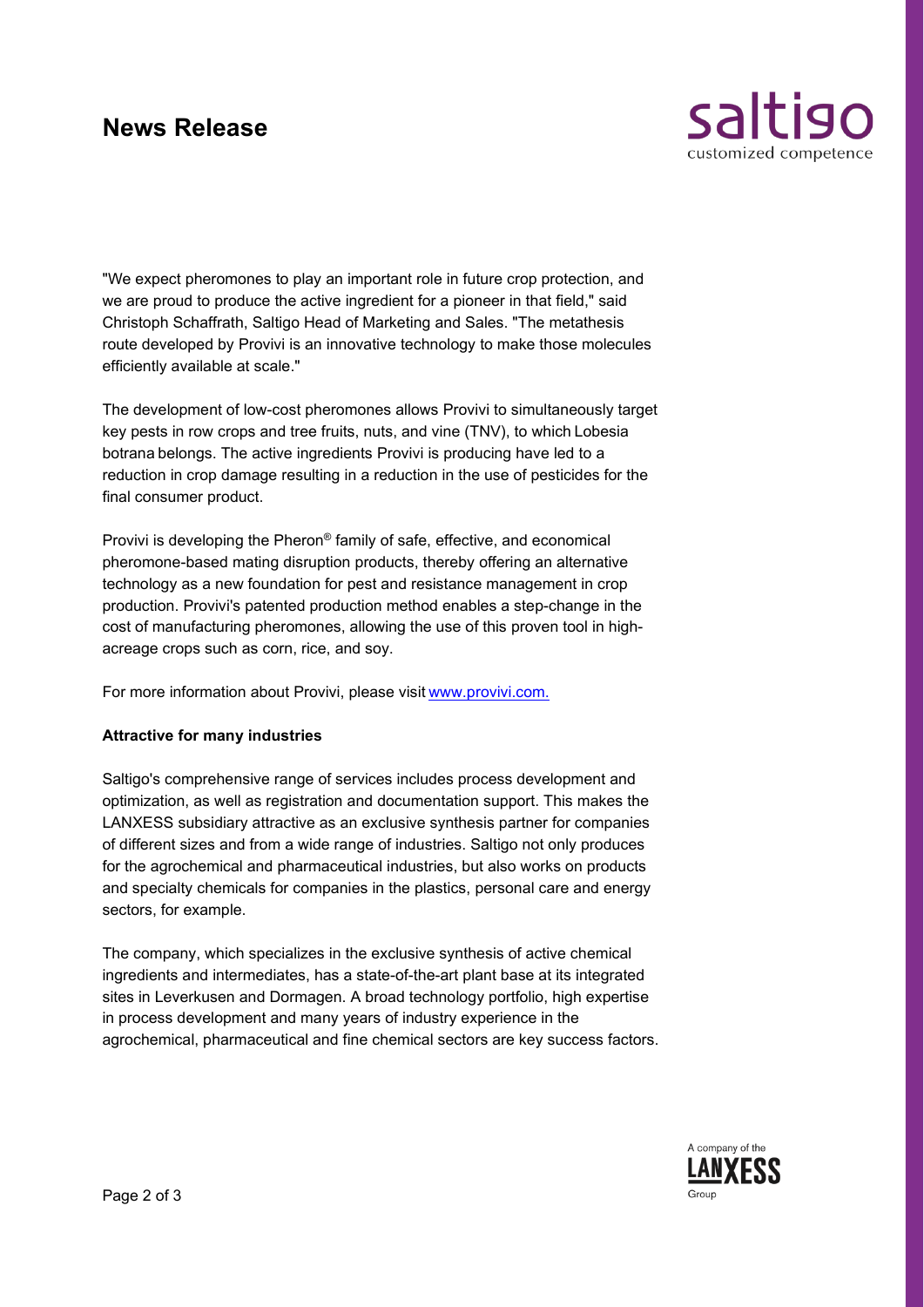# **News Release**



"We expect pheromones to play an important role in future crop protection, and we are proud to produce the active ingredient for a pioneer in that field," said Christoph Schaffrath, Saltigo Head of Marketing and Sales. "The metathesis route developed by Provivi is an innovative technology to make those molecules efficiently available at scale." 

The development of low-cost pheromones allows Provivi to simultaneously target key pests in row crops and tree fruits, nuts, and vine (TNV), to which Lobesia botrana belongs. The active ingredients Provivi is producing have led to a reduction in crop damage resulting in a reduction in the use of pesticides for the final consumer product.

Provivi is developing the Pheron® family of safe, effective, and economical pheromone-based mating disruption products, thereby offering an alternative technology as a new foundation for pest and resistance management in crop production. Provivi's patented production method enables a step-change in the cost of manufacturing pheromones, allowing the use of this proven tool in highacreage crops such as corn, rice, and soy. 

For more information about Provivi, please visit www.provivi.com.

### **Attractive for many industries**

Saltigo's comprehensive range of services includes process development and optimization, as well as registration and documentation support. This makes the LANXESS subsidiary attractive as an exclusive synthesis partner for companies of different sizes and from a wide range of industries. Saltigo not only produces for the agrochemical and pharmaceutical industries, but also works on products and specialty chemicals for companies in the plastics, personal care and energy sectors, for example.

The company, which specializes in the exclusive synthesis of active chemical ingredients and intermediates, has a state-of-the-art plant base at its integrated sites in Leverkusen and Dormagen. A broad technology portfolio, high expertise in process development and many years of industry experience in the agrochemical, pharmaceutical and fine chemical sectors are key success factors.